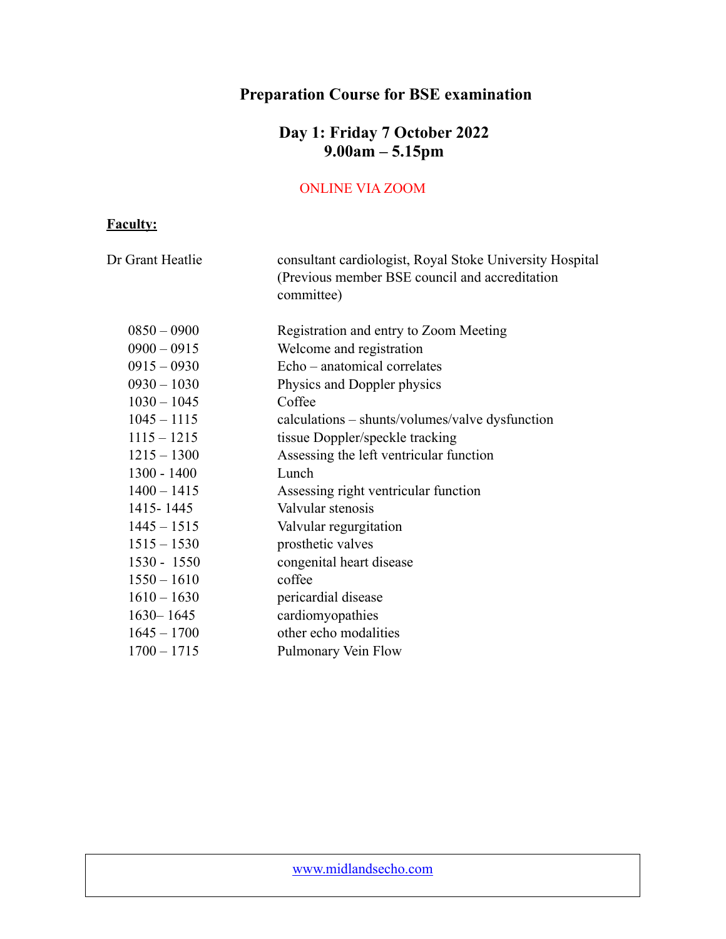# **Preparation Course for BSE examination**

### **Day 1: Friday 7 October 2022 9.00am – 5.15pm**

### ONLINE VIA ZOOM

### **Faculty:**

| Dr Grant Heatlie | consultant cardiologist, Royal Stoke University Hospital<br>(Previous member BSE council and accreditation<br>committee) |
|------------------|--------------------------------------------------------------------------------------------------------------------------|
| $0850 - 0900$    | Registration and entry to Zoom Meeting                                                                                   |
| $0900 - 0915$    | Welcome and registration                                                                                                 |
| $0915 - 0930$    | Echo – anatomical correlates                                                                                             |
| $0930 - 1030$    | Physics and Doppler physics                                                                                              |
| $1030 - 1045$    | Coffee                                                                                                                   |
| $1045 - 1115$    | calculations – shunts/volumes/valve dysfunction                                                                          |
| $1115 - 1215$    | tissue Doppler/speckle tracking                                                                                          |
| $1215 - 1300$    | Assessing the left ventricular function                                                                                  |
| 1300 - 1400      | Lunch                                                                                                                    |
| $1400 - 1415$    | Assessing right ventricular function                                                                                     |
| 1415 - 1445      | Valvular stenosis                                                                                                        |
| $1445 - 1515$    | Valvular regurgitation                                                                                                   |
| $1515 - 1530$    | prosthetic valves                                                                                                        |
| $1530 - 1550$    | congenital heart disease                                                                                                 |
| $1550 - 1610$    | coffee                                                                                                                   |
| $1610 - 1630$    | pericardial disease                                                                                                      |
| $1630 - 1645$    | cardiomyopathies                                                                                                         |
| $1645 - 1700$    | other echo modalities                                                                                                    |
| $1700 - 1715$    | Pulmonary Vein Flow                                                                                                      |